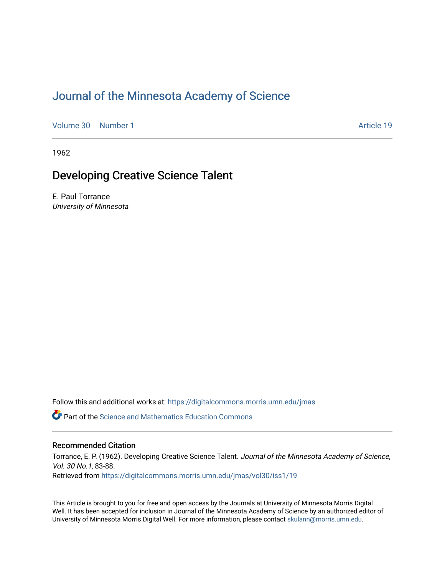# [Journal of the Minnesota Academy of Science](https://digitalcommons.morris.umn.edu/jmas)

[Volume 30](https://digitalcommons.morris.umn.edu/jmas/vol30) [Number 1](https://digitalcommons.morris.umn.edu/jmas/vol30/iss1) Article 19

1962

## Developing Creative Science Talent

E. Paul Torrance University of Minnesota

Follow this and additional works at: [https://digitalcommons.morris.umn.edu/jmas](https://digitalcommons.morris.umn.edu/jmas?utm_source=digitalcommons.morris.umn.edu%2Fjmas%2Fvol30%2Fiss1%2F19&utm_medium=PDF&utm_campaign=PDFCoverPages) 

*O* Part of the Science and Mathematics Education Commons

## Recommended Citation

Torrance, E. P. (1962). Developing Creative Science Talent. Journal of the Minnesota Academy of Science, Vol. 30 No.1, 83-88. Retrieved from [https://digitalcommons.morris.umn.edu/jmas/vol30/iss1/19](https://digitalcommons.morris.umn.edu/jmas/vol30/iss1/19?utm_source=digitalcommons.morris.umn.edu%2Fjmas%2Fvol30%2Fiss1%2F19&utm_medium=PDF&utm_campaign=PDFCoverPages) 

This Article is brought to you for free and open access by the Journals at University of Minnesota Morris Digital Well. It has been accepted for inclusion in Journal of the Minnesota Academy of Science by an authorized editor of University of Minnesota Morris Digital Well. For more information, please contact [skulann@morris.umn.edu](mailto:skulann@morris.umn.edu).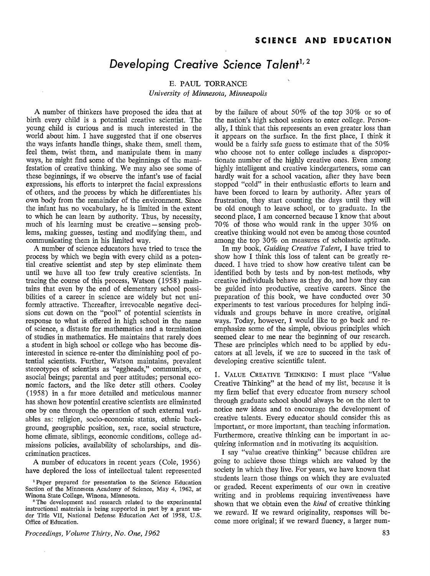## *Developing Creative Science Talent***<sup>1</sup> '** 2

## E. PAUL TORRANCE *University of Minnesota, Minneapolis*

A number of thinkers have proposed the idea that at birth every child is a potential creative scientist. The young child is curious and is much interested in the world about him. I have suggested that if one observes the ways infants handle things, shake them, smell them, feel them, twist them, and manipulate them in many ways, he might find some of the beginnings of the manifestation of creative thinking. We may also see some of these beginnings, if we observe the infant's use of facial expressions, his efforts to interpret the facial expressions of others, and the process by which he differentiates his own body from the remainder of the environment. Since the infant has no vocabulary, he is limited in the extent to which he can learn by authority. Thus, by necessity, much of his learning must be creative - sensing problems, making guesses, testing and modifying them, and communicating them in his limited way.

A number of science educators have tried to trace the process by which we begin with every child as a potential creative scientist and step by step eliminate them until we have all too few truly creative scientists. In tracing the course of this process, Watson (1958) maintains that even by the end of elementary school possibilities of a career in science are widely but not uniformly attractive. Thereafter, irrevocable negative decisions cut down on the "pool" of potential scientists in response to what is offered in high school in the name of science, a distaste for mathematics and a termination of studies in mathematics. He maintains that rarely does a student in high school or college who has become disinterested in science re-enter the diminishing pool of potential scientists. Further, Watson maintains, prevalent stereotypes of scientists as "eggheads," communists, or asocial beings; parental and peer attitudes; personal economic factors, and the like deter still others. Cooley (1958) in a far more detailed and meticulous manner has shown how potential creative scientists are eliminated one by one through the operation of such external variables as: religion, socio-economic status, ethnic background, geographic position, sex, race, social structure, home climate, siblings, economic conditions, college admissions policies, availability of scholarships, and discrimination practices.

A number of educators in recent years (Cole, 1956) have deplored the loss of intellectual talent represented

<sup>2</sup>The development and research related to the experimental instructional materials is being supported in part by a grant under Title VII, National Defense Education Act of 1958, U.S. Office of Education.

*Proceedings, Volume Thirty, No. One, 1962* 

by the failure of about 50% of the top 30% or so of the nation's high school seniors to enter college. Personally, I think that this represents an even greater loss than it appears on the surface. In the first place, I think it would be a fairly safe guess to estimate that of the 50% who choose not to enter college includes a disproportionate number of the highly creative ones. Even among highly intelligent and creative kindergarteners, some can hardly wait for a school vacation, after they have been stopped "cold" in their enthusiastic efforts to learn and have been forced to learn by authority. After years of frustration, they start counting the days until they will be old enough to leave school, or to graduate. In the second place, I am concerned because I know that about 70% of those who would rank in the upper 30% on creative thinking would not even be among those counted among the top 30% on measures of scholastic aptitude.

In my book, *Guiding Creative Talent,* I have tried to show how I think this loss of talent can be greatly reduced. I have tried to show how creative talent can be identified both by tests and by non-test methods, why creative individuals behave as they do, and how they can be guided into productive, creative careers. Since the preparation of this book, we have conducted over 30 experiments to test various procedures for helping individuals and groups behave in more creative, original ways. Today, however, I would like to go back and reemphasize some of the simple, obvious principles which seemed clear to me near the beginning of our research. These are principles which need to be applied by educators at all levels, if we are to succeed in the task of developing creative scientific talent.

1. VALUE CREATIVE THINKING: I must place "Value Creative Thinking" at the head of my list, because it is my firm belief that every educator from nursery school through graduate school should always be on the alert to notice new ideas and to encourage the development of creative talents. Every educator should consider this as important, or more important, than teaching information. Furthermore, creative thinking can be important in acquiring information and in motivating its acquisition.

I say "value creative thinking" because children are going to achieve those things which are valued by the society in which they live. For years, we have known that students learn those things on which they are evaluated or graded. Recent experiments of our own in creative writing and in problems requiring inventiveness have shown that we obtain even the *kind* of creative thinking we reward. If we reward originality, responses will become more original; if we reward fluency, a larger num-

<sup>1</sup> Paper prepared for presentation to the Science Education Section of the Minnesota Academy of Science, May 4, 1962, at Winona State College, Winona, Minnesota.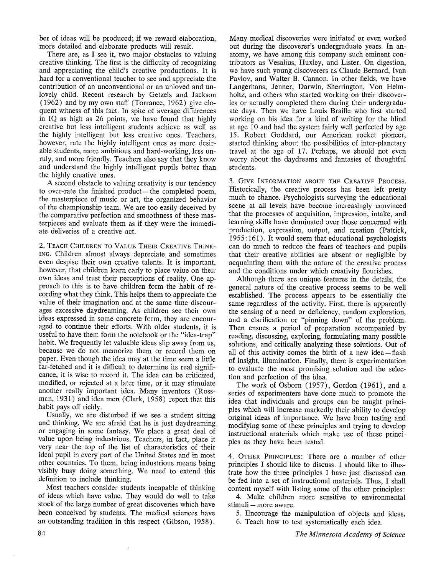ber of ideas will be produced; if we reward elaboration, more detailed and elaborate products will result.

There are, as I see it, two major obstacles to valuing creative thinking. The first is the difficulty of recognizing and appreciating the child's creative productions. It is hard for a conventional teacher to see and appreciate the contribution of an unconventional or an unloved and unlovely child. Recent research by Getzels and Jackson (1962) and by my own staff (Torrance, 1962) give eloquent witness of this fact. In spite of average differences in IQ as high as 26 points, we have found that highly creative but less intelligent students achieve as well as the highly intelligent but less creative ones. Teachers, however, rate the highly intelligent ones as more desirable students, more ambitious and hard-working, less unruly, and more friendly. Teachers also say that they know and understand the highly intelligent pupils better than the highly creative ones.

**A** second obstacle to valuing creativity is our tendency to over-rate the finished product  $-$  the completed poem, the masterpiece of music or art, the organized behavior of the championship team. We are too easily deceived by the comparative perfection and smoothness of these masterpieces and evaluate them as if they were the immediate deliveries of a creative act.

2. TEACH CHILDREN TO VALUE THEIR CREATIVE THiNK-ING. Children almost always depreciate and sometimes even despise their own creative talents. It is important, however, that children learn early to place value on their own ideas and trust their perceptions of reality. One approach to this is to have children form the habit of recording what they think. This helps them to appreciate the value of their imagination and at the same time discourages excessive daydreaming. As children see their own ideas expressed in some concrete form, they are encouraged to continue their efforts. With older students, it is useful to have them form the notebook or the "idea-trap" habit. We frequently let valuable ideas slip away from us, because we do not memorize them or record them on paper. Even though the idea may at the time seem a little far-fetched and it is difficult to determine its real significance, it is wise to record it. The idea can be criticized, modified, or rejected at a later time, or it may stimulate another really important idea. Many inventors (Rossman, 1931) and idea men (Clark, 1958) report that this habit pays off richly.

Usually, we are disturbed if we see a student sitting and thinking. We are afraid that he is just daydreaming or engaging in some fantasy. We place a great deal of value upon being industrious. Teachers, in fact, place it very near the top of the list of characteristics of their ideal pupil in every part of the United States and in most other countries. To them, being industrious means being visibly busy doing something. We need to extend this definition to include thinking.

Most teachers consider students incapable of thinking of ideas which have value. They would do well to take stock of the large number of great discoveries which have been conceived by students. The medical sciences have an outstanding tradition in this respect (Gibson, 1958).

Many medical discoveries were initiated or even worked out during the discoverer's undergraduate years. In anatomy, we have among this company such eminent contributors as Vesalius, Huxley, and Lister. On digestion, we have such young discoverers as Claude Bernard, Ivan Pavlov, and Walter B. Cannon. In other fields, we have Langerhans, Jenner, Darwin, Sherrington, Von Helmholtz, and others who started working on their discoveries or actually completed them during their undergraduate days. Then we have Louis Braille who first started working on his idea for a kind of writing for the blind at age 10 and had the system fairly well perfected by age 15. Robert Goddard, our American rocket pioneer, started thinking about the possibilities of inter-planetary travel at the age of 17. Perhaps, we should not even worry about the daydreams and fantasies of thoughtful students.

3. GIVE INFORMATION ABOUT THE CREATIVE PROCESS. Historically, the creative process has been left pretty much to chance. Psychologists surveying the educational scene at all levels have become increasingly convinced that the processes of acquisition, impression, intake, and learning skills have dominated over those concerned with production, expression, output, and creation (Patrick, 1955: 161). It would seem that educational psychologists can do much to reduce the fears of teachers and pupils that their creative abilities are absent or negligible by acquainting them with the nature of the creative process and the conditions under which creativity flourishes.

Although there are unique features in the details, the general nature of the creative process seems to be well established. The process appears to be essentially the same regardless of the activity. First, there is apparently the sensing of a need or deficiency, random exploration, and a clarification or "pinning down" of the problem. Then ensues a period of preparation accompanied by reading, discussing, exploring, formulating many possible solutions, and critically analyzing these solutions. Out of all of this activity comes the birth of a new idea  $-$  flash of insight, illumination. Finally, there is experimentation to evaluate the most promising solution and the selection and perfection of the idea.

The work of Osborn (1957), Gordon (1961), and a series of experimenters have done much to promote the idea that individuals and groups can be taught principles which will increase markedly their ability to develop original ideas of importance. We have been testing and modifying some of these principles and trying to develop instructional materials which make use of these principles as they have been tested.

4. OTHER PRINCIPLES: There are a number of other principles I should like to discuss. I should like to illustrate how the three principles I have just discussed can be fed into a set of instructional materials. Thus, I shall content myself with listing some of the other principles:

4. Make children more sensitive to environmental stimuli - more aware.

5. Encourage the manipulation of objects and ideas. 6. Teach how to test systematically each idea.

*The Minnesota Academy of Science*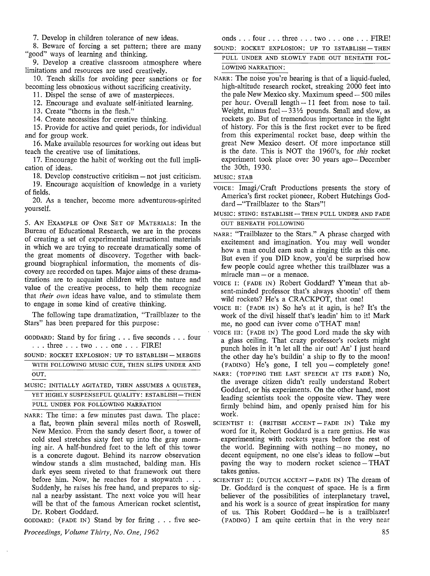7. Develop in children tolerance of new ideas.

8. Beware of forcing a set pattern; there are many "good" ways of learning and thinking.

9. Develop a creative classroom atmosphere where limitations and resources are used creatively.

10. Teach skills for avoiding peer sanctions or for becoming less obnoxious without sacrificing creativity.

11. Dispel the sense of awe of masterpieces.

12. Encourage and evaluate self-initiated learning.

13. Create "thorns in the flesh."

14. Create necessities for creative thinking.

15. Provide for active and quiet periods, for individual and for group work.

16. Make available resources for working out ideas but teach the creative use of limitations.

17. Encourage the habit of working out the full implication of ideas.

18. Develop constructive criticism – not just criticism.

19. Encourage acquisition of knowledge in a variety of fields.

20. As a teacher, become more adventurous-spirited yourself.

5. AN EXAMPLE OF ONE SET OF MATERIALS: In the Bureau of Educational Research, we are in the process of creating a set of experimental instructional materials in which we are trying to recreate dramatically some of the great moments of discovery. Together with background biographical information, the moments of discovery are recorded on tapes. Major aims of these dramatizations are to acquaint children with the nature and value of the creative process, to help them recognize that *their own* ideas have value, and to stimulate them to engage in some kind of creative thinking.

The following tape dramatization, "Trailblazer to the Stars" has been prepared for this purpose:

GODDARD: Stand by for firing ... five seconds ... four . . . three . . . two . . . one . . . FIRE!

SOUND: ROCKET EXPLOSION: UP TO ESTABLISH-MERGES

WITH FOLLOWING MUSIC CUE, THEN SLIPS UNDER AND OUT.

MUSIC: INITIALLY AGITATED, THEN ASSUMES A QUIETER, YET HIGHLY SUSPENSEFUL QUALITY: ESTABLISH-THEN

PULL UNDER FOR FOLLOWING NARRATION

NARR: The time: a few minutes past dawn. The place: a flat, brown plain several miles north of Roswell, New Mexico. From the sandy desert floor, a tower of cold steel stretches sixty feet up into the gray morning air. A half-hundred feet to the left of this tower is a concrete dugout. Behind its narrow observation window stands a slim mustached, balding man. His dark eyes seem riveted to that framework out there before him. Now, he reaches for a stopwatch . . . Suddenly, he raises his free hand, and prepares to signal a nearby assistant. The next voice you will hear will be that of the famous American rocket scientist, Dr. Robert Goddard.

GODDARD: (FADE IN) Stand by for firing ... five sec-

*Proceedings, Volume Thirty, No. One, 1962* 

onds . . . four . . . three . . . two . . . one . . . FIRE!

SOUND: ROCKET EXPLOSION: UP TO ESTABLISH-THEN PULL UNDER AND SLOWLY FADE OUT BENEATH FOL-

LOWING NARRATION:

NARR: The noise you're hearing is that of a liquid-fueled, high-altitude research rocket, streaking 2000 feet into the pale New Mexico sky. Maximum speed  $-500$  miles per hour. Overall length- 11 feet from nose to tail. Weight, minus fuel  $- 33\frac{1}{2}$  pounds. Small and slow, as rockets go. But of tremendous importance in the light of history. For this is the first rocket ever to be fired from this experimental rocket base, deep within the great New Mexico desert. Of more importance still is the date. This is **NOT** the 1960's, for *this* rocket experiment took place over 30 years ago- December the 30th, 1930.

MUSIC: STAB

- VOICE: !magi/Craft Productions presents the story of America's first rocket pioneer, Robert Hutchings Goddard - "Trailblazer to the Stars"!
- $MUSIC$ : STING: ESTABLISH  $-$  THEN PULL UNDER AND FADE OUT BENEATH FOLLOWING
- NARR: "Trailblazer to the Stars." A phrase charged with excitement and imagination. You may well wonder how a man could earn such a ringing title as this one. But even if you DID know, you'd be surprised how few people could agree whether this trailblazer was a miracle man - or a menace.
- VOICE I: (FADE IN) Robert Goddard? Y'mean that absent-minded professor that's always shootin' off them wild rockets? He's a CRACKPOT, that one!
- VOICE n: (FADE IN) So he's at it agin, is he? It's the work of the divil hisself that's leadin' him to it! Mark me, no good can ivver come o'THAT man!
- VOICE III:  $(FADE IN)$  The good Lord made the sky with a glass ceiling. That crazy professor's rockets might punch holes in it 'n let all the air out! An' I just heard the other day he's buildin' a ship to fly to the moon!  $(FADING)$  He's gone, I tell you - completely gone!
- NARR: (TOPPING THE LAST SPEECH AT ITS FADE) No, the average citizen didn't really understand Robert Goddard, or his experiments. On the other hand, most leading scientists took the opposite view. They were firmly behind him, and openly praised him for bis work.
- SCIENTIST I: (BRITISH ACCENT-FADE IN) Take my word for it, Robert Goddard is a rare genius. He was experimenting with rockets years before the rest of the world. Beginning with nothing  $-$  no money, no decent equipment, no one else's ideas to follow -but paving the way to modern rocket science  $-THAT$ takes genius.
- SCIENTIST II: (DUTCH ACCENT-FADE IN) The dream of Dr. Goddard is the conquest of space. He is a firm believer of the possibilities of interplanetary travel, and his work is a source of great inspiration for many of us. This Robert Goddard - he is a trailblazer! (FADING) I am quite certain that in the very near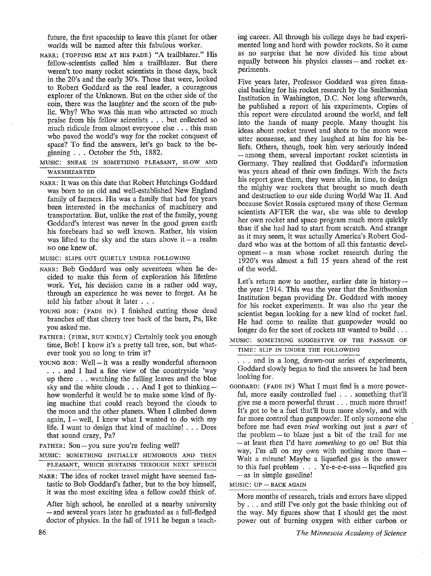future, the first spaceship to leave this planet for other worlds will be named after this fabulous worker.

- NARR: (TOPPING HIM AT HIS FADE) "A trailblazer." His fellow-scientists called him a trailblazer. But there weren't too many rocket scientists in those days, back in the 20's and the early 30's. Those that were, looked to Robert Goddard as the real leader, a courageous explorer of the Unknown. But on the other side of the coin, there was the laughter and the scorn of the public. Why? Who was this man who attracted so much praise from his fellow scientists . . . but collected so much ridicule from almost everyone else ... this man who paved the world's way for the rocket conquest of space? To find the answers, let's go back to the beginning ... October the 5th, 1882.
- MUSIC: SNEAK IN SOMETHING PLEASANT, SLOW AND WARMHEARTED
- NARR: It was on this date that Robert Hutchings Goddard was born to an old and well-established New England family of farmers. His was a family that had for years been interested in the mechanics of machinery and transportation. But, unlike the rest of the family, young Goddard's interest was never in the good green earth his forebears had so well known. Rather, his vision was lifted to the sky and the stars above it  $-$  a realm NO one knew of.

### MUSIC: SLIPS OUT QUIETLY UNDER FOLLOWING

- NARR: Bob Goddard was only seventeen when he decided to make this form of exploration his lifetime work. Yet, his decision came in a rather odd way, through an experience he was never to forget. As he told his father about it later . . .
- YOUNG BOB: (FADE IN) I finished cutting those dead branches off that cherry tree back of the barn, Pa, like you asked me.
- FATHER: (FIRM, BUT KINDLY) Certainly took you enough time, Bob! I know it's a pretty tall tree, son, but whatever took you so long to trim it?
- YOUNG BOB: Well-it was a really wonderful afternoon . . . and I had a fine view of the countryside 'way up there ... watching the falling leaves and the blue sky and the white clouds  $\dots$  And I got to thinking  $$ how wonderful it would be to make some kind of flying machine that could reach beyond the clouds to the moon and the other planets. When I climbed down again,  $I - well$ , I knew what I wanted to do with my life. I want to design that kind of machine! ... Does that sound crazy, Pa?

FATHER: Son-you sure you're feeling well?

- MUSIC: SOMETHING INITIALLY HUMOROUS AND THEN PLEASANT, WHICH SUSTAINS THROUGH NEXT SPEECH
- NARR: The idea of rocket travel might have seemed fantastic to Bob Goddard's father, but to the boy himself, it was the most exciting idea a fellow could think of.

After high school, he enrolled at a nearby university - and several years later he graduated as a full-fledged doctor of physics. In the fall of 1911 he began a teaching career. All through his college days he had experimented long and hard with powder rockets. So it came as no surprise that he now divided his time about equally between his physics classes – and rocket experiments.

Five years later, Professor Goddard was given financial backing for his rocket research by the Smithsonian Institution in Washington, D.C. Not long afterwards, he published a report of his experiments. Copies of this report were circulated around the world, and fell into the hands of many people. Many thought his ideas about rocket travel and shots to the moon were utter nonsense, and they laughed at him for his beliefs. Others, though, took him very seriously indeed - among them, several important rocket scientists in Germany. They realized that Goddard's information was years ahead of their own findings. With the facts his report gave them, they were able, in time, to design the mighty war rockets that brought so much death and destruction to our side during World War II. And because Soviet Russia captured many of these German scientists AFTER the war, she was able to develop her own rocket and space program much more quickly than if she had had to start from scratch. And strange as it may seem, it was actually America's Robert Goddard who was at the bottom of all this fantastic devel $opment - a man whose rocket research during the$ 1920's was almost a full 15 years ahead of the rest of the world.

Let's return now to another, earlier date in history  $$ the year 1914. This was the year that the Smithsonian Institution began providing Dr. Goddard with money for his rocket experiments. It was also the year the scientist began looking for a new kind of rocket fuel. He had come to realize that gunpowder would no longer do for the sort of rockets  $\overline{HE}$  wanted to build ...

MUSIC: SOMETHING SUGGESTIVE OF THE PASSAGE OF

TIME: SLIP IN UNDER THE FOLLOWING

... and in a long, drawn-out series of experiments, Goddard slowly began to find the answers he had been looking for.

- GODDARD: (FADE IN) What I must find is a more powerful, more easily controlled fuel . . . something that'll give me a more powerful thrust ... much more thrust! It's got to be a fuel that'll burn more slowly, and with far more control than gunpowder. If only someone else before me had even *tried* working out just a *part* of the problem - to blaze just a bit of the trail for me - at least then I'd have *something* to go on! But this way, I'm all on my own with nothing more than  $-$ Wait a minute! Maybe a liquefied gas is the answer to this fuel problem  $\ldots$  Ye-e-e-e-ssss - liquefied gas  $-$  as in simple gasoline!
- $MUSIC$ :  $UP BACK AGAIN$

More months of research, trials and errors have slipped by . . . and still I've only got the basic thinking out of the way. My figures show that I should get the most power out of burning oxygen with either carbon or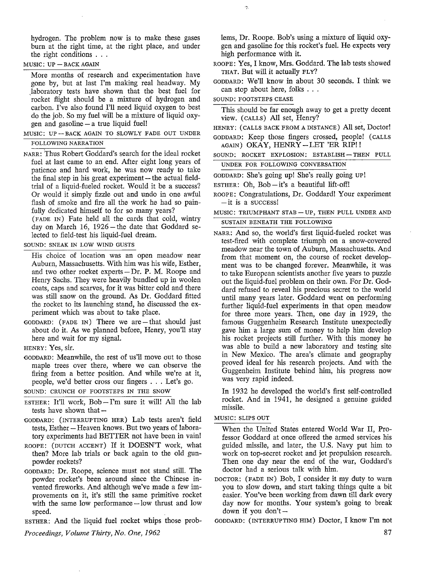hydrogen. The problem now is to make these gases burn at the right time, at the right place, and under the right conditions . . .

#### $MUSIC$ :  $UP - BACK AGAIN$

More months of research and experimentation have gone by, but at last I'm making real headway. My laboratory tests have shown that the best fuel for rocket flight should be a mixture of hydrogen and carbon. I've also found I'll need liquid oxygen to best do the job. So my fuel will be a mixture of liquid oxygen and gasoline - a true liquid fuel!

- $MUSIC: UP BACK AGAIN TO SLOWLY FADE OUT UNDER$ FOLLOWING NARRATION
- NARR: Thus Robert Goddard's search for the ideal rocket fuel at last came to an end. After eight long years of patience and hard work, he was now ready to take the final step in his great experiment  $-$  the actual fieldtrial of a liquid-fueled rocket. Would it be a success? Or would it simply fizzle out and undo in one awful flash of smoke and fire all the work he had so painfully dedicated himself to for so many years?

(FADE IN) Fate held all the cards that cold, wintry day on March 16, 1926-the date that Goddard selected to field-test his liquid-fuel dream.

SOUND: SNEAK IN LOW WIND GUSTS

- His choice of location was an open meadow near Auburn, Massachusetts. With him was his wife, Esther, and two other rocket experts  $-Dr.$  P. M. Roope and Henry Sachs. They were heavily bundled up in woolen coats, caps and scarves, for it was bitter cold and there was still snow on the ground. As Dr. Goddard fitted the rocket to its launching stand, he discussed the experiment which was about to take place.
- GODDARD: (FADE IN) There we are  $-$  that should just about do it. As we planned before, Henry, you'll stay here and wait for my signal.
- HENRY: Yes, sir.
- GODDARD: Meanwhile, the rest of us'll move out to those maple trees over there, where we can observe the firing from a better position. And while we're at it, people, we'd better cross our fingers ... Let's go.

SOUND: CRUNCH OF FOOTSTEPS IN THE SNOW

- ESTHER: It'll work,  $Bob I'm$  sure it will! All the lab tests have shown that  $-$
- GODDARD: (INTERRUPTING HER) Lab tests aren't field tests, Esther – Heaven knows. But two years of laboratory experiments had BETTER not have been in vain!
- ROOPE: (DUTCH ACCENT) If it DOESN'T work, what then? More lab trials or back again to the old gunpowder rockets?
- GODDARD: Dr. Roope, science must not stand still. The powder rocket's been around since the Chinese invented fireworks. And although we've made a few improvements on it, it's still the same primitive rocket with the same low performance  $-\text{low}$  thrust and low speed.

ESTHER: And the liquid fuel rocket whips those prob-

*Proceedings, Volume Thirty, No. One, 1962* 

lems, Dr. Roope. Bob's using a mixture of liquid oxygen and gasoline for this rocket's fuel. He expects very high performance with it.

- ROOPE: Yes, I know, Mrs. Goddard. The lab tests showed THAT. But will it actually FLY?
- GODDARD: We'll know in about 30 seconds. I think we can stop about here, folks . . .
- SOUND: FOOTSTEPS CEASE

This should be far enough away to get a pretty decent view. (CALLS) All set, Henry?

HENRY: ( CALLS BACK FROM A DISTANCE) All set, Doctor!

GODDARD: Keep those fingers crossed, people! ( CALLS AGAIN) OKAY, HENRY-LET 'ER RIP!!

SOUND: ROCKET EXPLOSION: ESTABLISH-THEN PULL UNDER FOR FOLLOWING CONVERSATION

GODDARD: She's going up! She's really going UP!

ESTHER: Oh, Bob-it's a beautiful lift-off!

- ROOPE: Congratulations, Dr. Goddard! Your experiment  $-$  it is a success!
- MUSIC: TRIUMPHANT STAB UP, THEN PULL UNDER AND SUSTAIN BENEATH THE FOLLOWING
- NARR: And so, the world's first liquid-fueled rocket was test-fired with complete triumph on a snow-covered meadow near the town of Auburn, Massachusetts. And from that moment on, the course of rocket development was to be changed forever. Meanwhile, it was to take European scientists another five years to puzzle out the liquid-fuel problem on their own. For Dr. Goddard refused to reveal his precious secret to the world until many years later. Goddard went on performing further liquid-fuel experiments in that open meadow for three more years. Then, one day in 1929, the famous Guggenheim Research Institute unexpectedly gave him a large sum of money to help him develop his rocket projects still further. With this money he was able to build a new laboratory and testing site in New Mexico. The area's climate and geography proved ideal for his research projects. And with the Guggenheim Institute behind him, his progress now was very rapid indeed.

In 1932 he developed the world's first self-controlled rocket. And in 1941, he designed a genuine guided missile.

MUSIC: SLIPS OUT

When the United States entered World War II, Professor Goddard at once offered the armed services his guided missile, and later, the U.S. Navy put him to work on top-secret rocket and jet propulsion research. Then one day near the end of the war, Goddard's doctor had a serious talk with him.

- DOCTOR: (FADE IN) Bob, I consider it my duty to warn you to slow down, and start taking things quite a bit easier. You've been working from dawn till dark every day now for months. Your system's going to break down if you don't  $-$
- GODDARD: (INTERRUPTING HIM) Doctor, I know I'm not